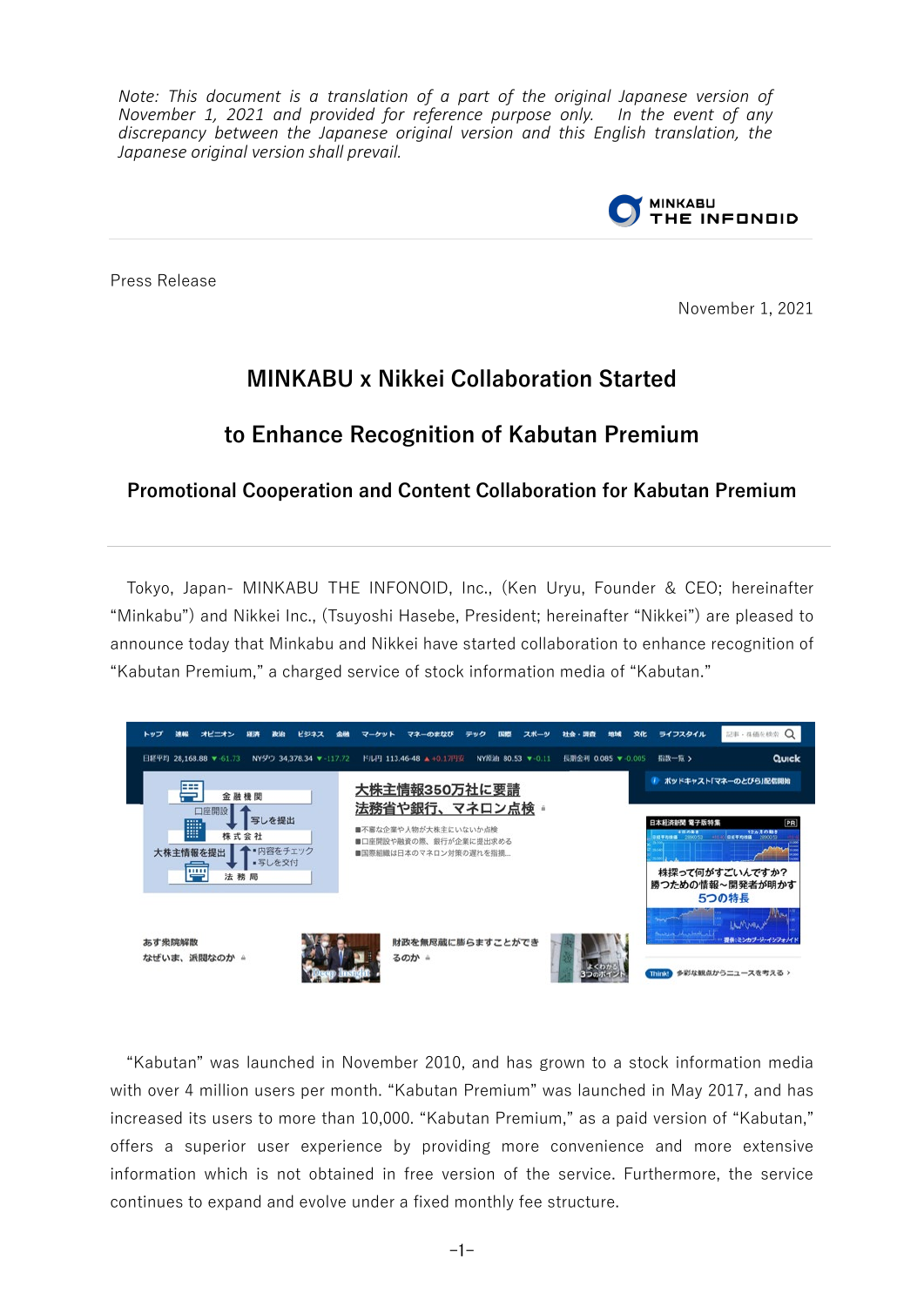*Note: This document is a translation of a part of the original Japanese version of November 1, 2021 and provided for reference purpose only. In the event of any discrepancy between the Japanese original version and this English translation, the Japanese original version shall prevail.*



Press Release

November 1, 2021

# **MINKABU x Nikkei Collaboration Started**

# **to Enhance Recognition of Kabutan Premium**

### **Promotional Cooperation and Content Collaboration for Kabutan Premium**

Tokyo, Japan- MINKABU THE INFONOID, Inc., (Ken Uryu, Founder & CEO; hereinafter "Minkabu") and Nikkei Inc., (Tsuyoshi Hasebe, President; hereinafter "Nikkei") are pleased to announce today that Minkabu and Nikkei have started collaboration to enhance recognition of "Kabutan Premium," a charged service of stock information media of "Kabutan."



"Kabutan" was launched in November 2010, and has grown to a stock information media with over 4 million users per month. "Kabutan Premium" was launched in May 2017, and has increased its users to more than 10,000. "Kabutan Premium," as a paid version of "Kabutan," offers a superior user experience by providing more convenience and more extensive information which is not obtained in free version of the service. Furthermore, the service continues to expand and evolve under a fixed monthly fee structure.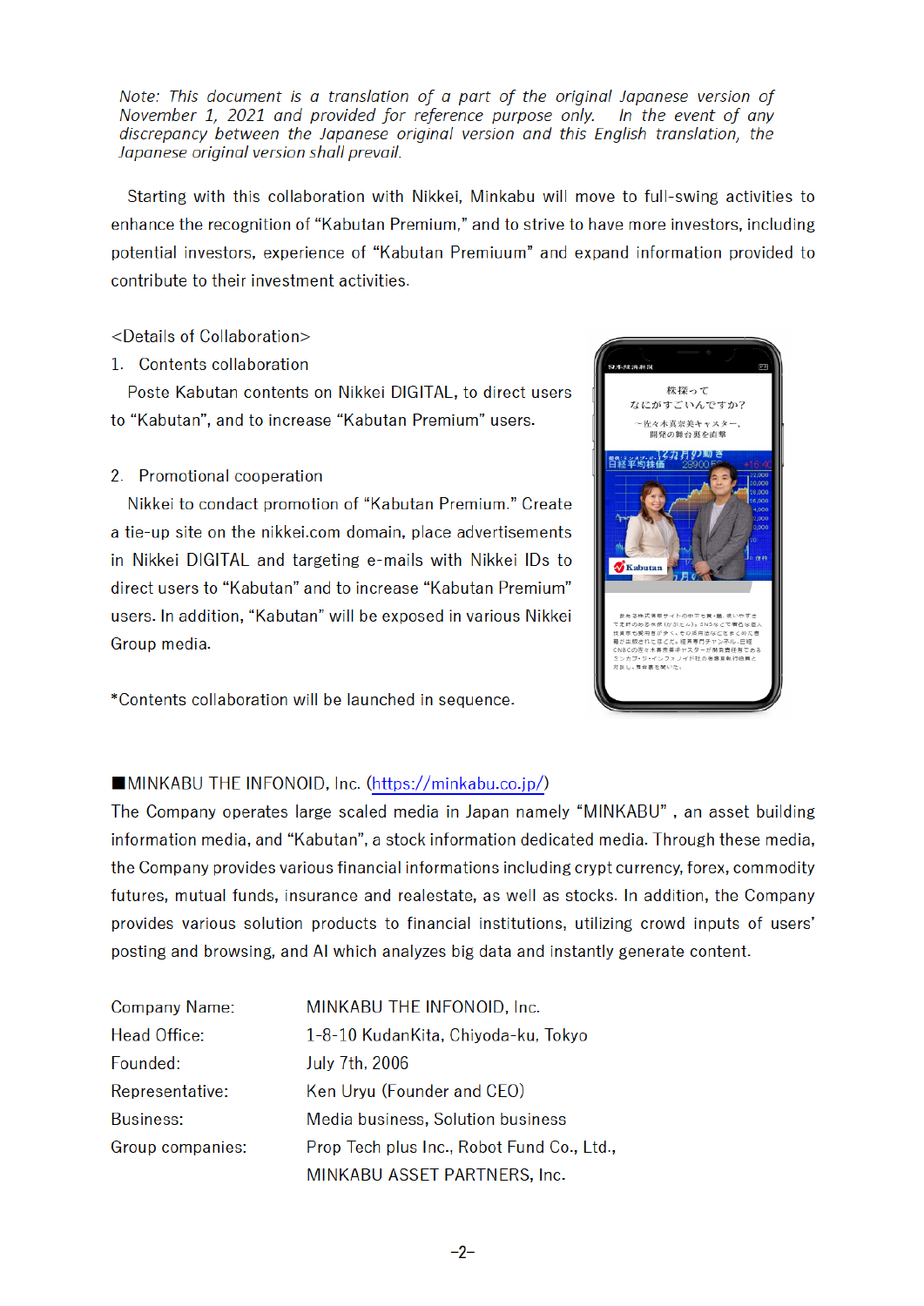Note: This document is a translation of a part of the original Japanese version of November 1, 2021 and provided for reference purpose only. In the event of any discrepancy between the Japanese original version and this English translation, the Japanese original version shall prevail.

Starting with this collaboration with Nikkei, Minkabu will move to full-swing activities to enhance the recognition of "Kabutan Premium," and to strive to have more investors, including potential investors, experience of "Kabutan Premiuum" and expand information provided to contribute to their investment activities.

#### <Details of Collaboration>

1. Contents collaboration

Poste Kabutan contents on Nikkei DIGITAL, to direct users to "Kabutan", and to increase "Kabutan Premium" users.

#### 2. Promotional cooperation

Nikkei to condact promotion of "Kabutan Premium." Create a tie-up site on the nikkei.com domain, place advertisements in Nikkei DIGITAL and targeting e-mails with Nikkei IDs to direct users to "Kabutan" and to increase "Kabutan Premium" users. In addition, "Kabutan" will be exposed in various Nikkei Group media.

\*Contents collaboration will be launched in sequence.



### **MINKABU THE INFONOID, Inc. (https://minkabu.co.jp/)**

The Company operates large scaled media in Japan namely "MINKABU", an asset building information media, and "Kabutan", a stock information dedicated media. Through these media, the Company provides various financial informations including crypt currency, forex, commodity futures, mutual funds, insurance and realestate, as well as stocks. In addition, the Company provides various solution products to financial institutions, utilizing crowd inputs of users' posting and browsing, and AI which analyzes big data and instantly generate content.

| <b>Company Name:</b> | MINKABU THE INFONOID, Inc.                |
|----------------------|-------------------------------------------|
| <b>Head Office:</b>  | 1-8-10 KudanKita, Chiyoda-ku, Tokyo       |
| Founded:             | July 7th, 2006                            |
| Representative:      | Ken Uryu (Founder and CEO)                |
| <b>Business:</b>     | Media business, Solution business         |
| Group companies:     | Prop Tech plus Inc., Robot Fund Co., Ltd. |
|                      | MINKABU ASSET PARTNERS, Inc.              |